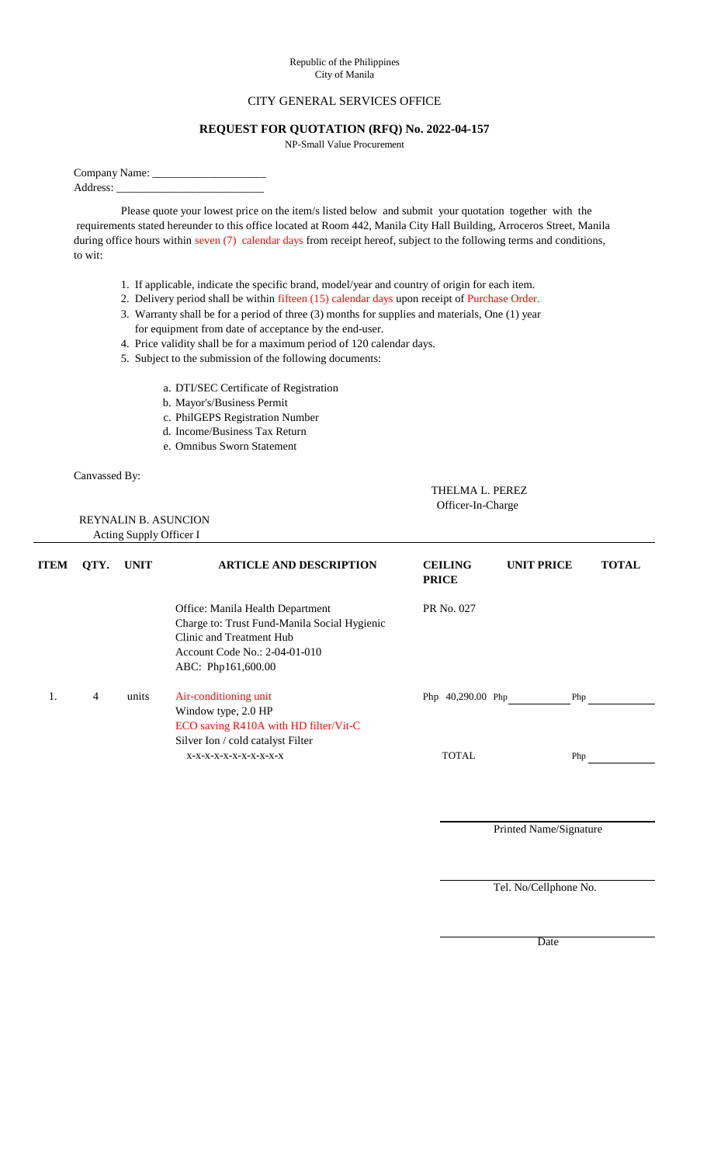## Republic of the Philippines City of Manila

## CITY GENERAL SERVICES OFFICE

## **REQUEST FOR QUOTATION (RFQ) No. 2022-04-157**

NP-Small Value Procurement

Company Name: \_

Address:

Please quote your lowest price on the item/s listed below and submit your quotation together with the requirements stated hereunder to this office located at Room 442, Manila City Hall Building, Arroceros Street, Manila during office hours within seven (7) calendar days from receipt hereof, subject to the following terms and conditions, to wit:

- 1. If applicable, indicate the specific brand, model/year and country of origin for each item.
- 2. Delivery period shall be within fifteen (15) calendar days upon receipt of Purchase Order.
- 3. Warranty shall be for a period of three (3) months for supplies and materials, One (1) year for equipment from date of acceptance by the end-user.
- 4. Price validity shall be for a maximum period of 120 calendar days.
- 5. Subject to the submission of the following documents:
	- a. DTI/SEC Certificate of Registration
	- b. Mayor's/Business Permit
	- c. PhilGEPS Registration Number
	- d. Income/Business Tax Return
	- e. Omnibus Sworn Statement

Canvassed By:

| THELMA L. PEREZ   |
|-------------------|
| Officer-In-Charge |

 REYNALIN B. ASUNCION Acting Supply Officer I

| <b>ITEM</b> | QTY. | <b>UNIT</b> | <b>ARTICLE AND DESCRIPTION</b>                                                                                                                                      | <b>CEILING</b><br><b>PRICE</b> | <b>UNIT PRICE</b> |     | <b>TOTAL</b> |
|-------------|------|-------------|---------------------------------------------------------------------------------------------------------------------------------------------------------------------|--------------------------------|-------------------|-----|--------------|
|             |      |             | Office: Manila Health Department<br>Charge to: Trust Fund-Manila Social Hygienic<br>Clinic and Treatment Hub<br>Account Code No.: 2-04-01-010<br>ABC: Php161,600.00 | PR No. 027                     |                   |     |              |
| 1.          | 4    | units       | Air-conditioning unit<br>Window type, 2.0 HP<br>ECO saving R410A with HD filter/Vit-C<br>Silver Ion / cold catalyst Filter                                          | Php $40,290.00$ Php            |                   | Php |              |
|             |      |             | X-X-X-X-X-X-X-X-X-X-X-X                                                                                                                                             | <b>TOTAL</b>                   |                   | Php |              |

Printed Name/Signature

Tel. No/Cellphone No.

Date